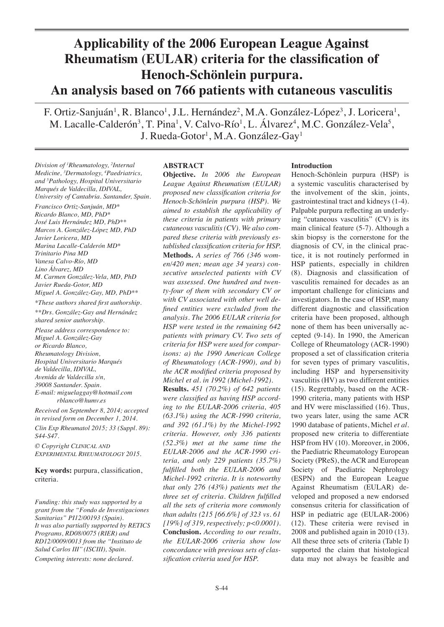# **Applicability of the 2006 European League Against Rheumatism (EULAR) criteria for the classification of Henoch-Schönlein purpura. An analysis based on 766 patients with cutaneous vasculitis**

F. Ortiz-Sanjuán<sup>1</sup>, R. Blanco<sup>1</sup>, J.L. Hernández<sup>2</sup>, M.A. González-López<sup>3</sup>, J. Loricera<sup>1</sup>, M. Lacalle-Calderón<sup>3</sup>, T. Pina<sup>1</sup>, V. Calvo-Río<sup>1</sup>, L. Álvarez<sup>4</sup>, M.C. González-Vela<sup>5</sup>, J. Rueda-Gotor<sup>1</sup>, M.A. González-Gay<sup>1</sup>

*Division of 1 Rheumatology, 2 Internal Medicine, 3 Dermatology, 4 Paedriatrics, and 5 Pathology, Hospital Universitario Marqués de Valdecilla, IDIVAL, University of Cantabria. Santander, Spain.*

*Francisco Ortiz-Sanjuán, MD\* Ricardo Blanco, MD, PhD\* José Luis Hernández MD, PhD\*\* Marcos A. González-López MD, PhD Javier Loricera, MD Marina Lacalle-Calderón MD\* Trinitario Pina MD Vanesa Calvo-Río, MD Lino Álvarez, MD M. Carmen González-Vela, MD, PhD Javier Rueda-Gotor, MD Miguel A. González-Gay, MD, PhD\*\* \*These authors shared first authorship.*

*\*\*Drs. González-Gay and Hernández shared senior authorship.*

*Please address correspondence to: Miguel A. González-Gay or Ricardo Blanco, Rheumatology Division, Hospital Universitario Marqués de Valdecilla, IDIVAL, Avenida de Valdecilla s/n, 39008 Santander. Spain. E-mail: miguelaggay@hotmail.com rblanco@humv.es*

*Received on September 8, 2014; accepted in revised form on December 1, 2014.*

*Clin Exp Rheumatol 2015; 33 (Suppl. 89): S44-S47.*

*© Copyright Clinical and Experimental Rheumatology 2015.*

**Key words:** purpura, classification, criteria.

*Funding: this study was supported by a grant from the "Fondo de Investigaciones Sanitarias" PI12/00193 (Spain). It was also partially supported by RETICS Programs, RD08/0075 (RIER) and RD12/0009/0013 from the ''Instituto de Salud Carlos III'' (ISCIII), Spain.*

*Competing interests: none declared.*

# **ABSTRACT**

**Objective.** *In 2006 the European League Against Rheumatism (EULAR) proposed new classification criteria for Henoch-Schönlein purpura (HSP). We aimed to establish the applicability of these criteria in patients with primary cutaneous vasculitis (CV). We also compared these criteria with previously established classification criteria for HSP.* **Methods.** *A series of 766 (346 women/420 men; mean age 34 years) consecutive unselected patients with CV was assessed. One hundred and twenty-four of them with secondary CV or with CV associated with other well defined entities were excluded from the analysis. The 2006 EULAR criteria for HSP were tested in the remaining 642 patients with primary CV. Two sets of criteria for HSP were used for comparisons: a) the 1990 American College of Rheumatology (ACR-1990), and b) the ACR modified criteria proposed by Michel et al. in 1992 (Michel-1992).*

**Results.** *451 (70.2%) of 642 patients were classified as having HSP according to the EULAR-2006 criteria, 405 (63.1%) using the ACR-1990 criteria, and 392 (61.1%) by the Michel-1992 criteria. However, only 336 patients (52.3%) met at the same time the EULAR-2006 and the ACR-1990 criteria, and only 229 patients (35.7%) fulfilled both the EULAR-2006 and Michel-1992 criteria. It is noteworthy that only 276 (43%) patients met the three set of criteria. Children fulfilled all the sets of criteria more commonly than adults (215 [66.6%] of 323 vs. 61 [19%] of 319, respectively; p<0.0001).*  **Conclusion.** *According to our results, the EULAR-2006 criteria show low concordance with previous sets of classification criteria used for HSP.* 

# **Introduction**

Henoch-Schönlein purpura (HSP) is a systemic vasculitis characterised by the involvement of the skin, joints, gastrointestinal tract and kidneys (1-4). Palpable purpura reflecting an underlying "cutaneous vasculitis" (CV) is its main clinical feature (5-7). Although a skin biopsy is the cornerstone for the diagnosis of CV, in the clinical practice, it is not routinely performed in HSP patients, especially in children (8). Diagnosis and classification of vasculitis remained for decades as an important challenge for clinicians and investigators. In the case of HSP, many different diagnostic and classification criteria have been proposed, although none of them has been universally accepted (9-14). In 1990, the American College of Rheumatology (ACR-1990) proposed a set of classification criteria for seven types of primary vasculitis, including HSP and hypersensitivity vasculitis (HV) as two different entities (15). Regrettably, based on the ACR-1990 criteria, many patients with HSP and HV were misclassified (16). Thus, two years later, using the same ACR 1990 database of patients, Michel *et al.*  proposed new criteria to differentiate HSP from HV (10). Moreover, in 2006, the Paediatric Rheumatology European Society (PReS), the ACR and European Society of Paediatric Nephrology (ESPN) and the European League Against Rheumatism (EULAR) developed and proposed a new endorsed consensus criteria for classification of HSP in pediatric age (EULAR-2006) (12). These criteria were revised in 2008 and published again in 2010 (13). All these three sets of criteria (Table I) supported the claim that histological data may not always be feasible and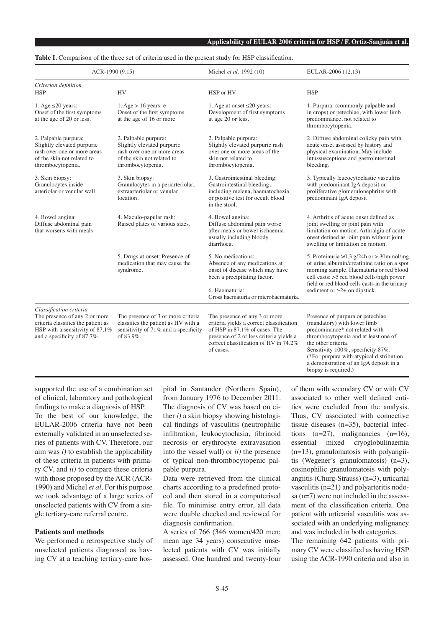## **Table I.** Comparison of the three set of criteria used in the present study for HSP classification.

| ACR-1990 (9,15)                                                                                                                                                  |                                                                                                                                      | Michel et al. 1992 (10)                                                                                                                                                                                     | EULAR-2006 (12,13)                                                                                                                                                                                                                                                                                                   |
|------------------------------------------------------------------------------------------------------------------------------------------------------------------|--------------------------------------------------------------------------------------------------------------------------------------|-------------------------------------------------------------------------------------------------------------------------------------------------------------------------------------------------------------|----------------------------------------------------------------------------------------------------------------------------------------------------------------------------------------------------------------------------------------------------------------------------------------------------------------------|
| Criterion definition<br><b>HSP</b>                                                                                                                               | <b>HV</b>                                                                                                                            | HSP or HV                                                                                                                                                                                                   | <b>HSP</b>                                                                                                                                                                                                                                                                                                           |
| 1. Age $\leq 20$ years:<br>Onset of the first symptoms<br>at the age of 20 or less.                                                                              | 1. Age $> 16$ years: e<br>Onset of the first symptoms<br>at the age of 16 or more                                                    | 1. Age at onset $\leq 20$ years:<br>Development of first symptoms<br>at age 20 or less.                                                                                                                     | 1. Purpura: (commonly palpable and<br>in crops) or petechiae, with lower limb<br>predominance, not related to<br>thrombocytopenia.                                                                                                                                                                                   |
| 2. Palpable purpura:<br>Slightly elevated purpuric<br>rash over one or more areas<br>of the skin not related to<br>thrombocytopenia.                             | 2. Palpable purpura:<br>Slightly elevated purpuric<br>rash over one or more areas<br>of the skin not related to<br>thrombocytopenia. | 2. Palpable purpura:<br>Slightly elevated purpuric rash<br>over one or more areas of the<br>skin not related to<br>thrombocytopenia.                                                                        | 2. Diffuse abdominal colicky pain with<br>acute onset assessed by history and<br>physical examination. May include<br>intussusceptions and gastrointestinal<br>bleeding.                                                                                                                                             |
| 3. Skin biopsy:<br>Granulocytes inside<br>arteriolar or venular wall.                                                                                            | 3. Skin biopsy:<br>Granulocytes in a periarteriolar,<br>extraarteriolar or venular<br>location.                                      | 3. Gastrointestinal bleeding:<br>Gastrointestinal bleeding,<br>including melena, haematochezia<br>or positive test for occult blood<br>in the stool.                                                        | 3. Typically leucocytoclastic vasculitis<br>with predominant IgA deposit or<br>proliferative glomerulonephritis with<br>predominant IgA deposit                                                                                                                                                                      |
| 4. Bowel angina:<br>Diffuse abdominal pain<br>that worsens with meals.                                                                                           | 4. Maculo-papular rash:<br>Raised plates of various sizes.                                                                           | 4. Bowel angina:<br>Diffuse abdominal pain worse<br>after meals or bowel ischaemia<br>usually including bloody<br>diarrhoea.                                                                                | 4. Arthritis of acute onset defined as<br>joint swelling or joint pain with<br>limitation on motion. Arthralgia of acute<br>onset defined as joint pain without joint<br>swelling or limitation on motion.                                                                                                           |
|                                                                                                                                                                  | 5. Drugs at onset: Presence of<br>medication that may cause the<br>syndrome.                                                         | 5. No medications:<br>Absence of any medications at<br>onset of disease which may have<br>been a precipitating factor.<br>6. Haematuria:<br>Gross haematuria or microhaematuria.                            | 5. Proteinuria > 0.3 g/24h or > 30mmol/mg<br>of urine albumin/creatinine ratio on a spot<br>morning sample. Haematuria or red blood<br>cell casts: >5 red blood cells/high power<br>field or red blood cells casts in the urinary<br>sediment or $\geq 2+$ on dipstick.                                              |
|                                                                                                                                                                  |                                                                                                                                      |                                                                                                                                                                                                             |                                                                                                                                                                                                                                                                                                                      |
| Classification criteria<br>The presence of any 2 or more<br>criteria classifies the patient as<br>HSP with a sensitivity of 87.1%<br>and a specificity of 87.7%. | The presence of 3 or more criteria<br>classifies the patient as HV with a<br>sensitivity of 71% and a specificity<br>of 83.9%.       | The presence of any 3 or more<br>criteria yields a correct classification<br>of HSP in 87.1% of cases. The<br>presence of 2 or less criteria yields a<br>correct classification of HV in 74.2%<br>of cases. | Presence of purpura or petechiae<br>(mandatory) with lower limb<br>predominance* not related with<br>thrombocytopenia and at least one of<br>the other criteria.<br>Sensitivity 100%, specificity 87%.<br>(*For purpura with atypical distribution<br>a demonstration of an IgA deposit in a<br>biopsy is required.) |

supported the use of a combination set of clinical, laboratory and pathological findings to make a diagnosis of HSP. To the best of our knowledge, the EULAR-2006 criteria have not been externally validated in an unselected series of patients with CV. Therefore, our aim was  $i$ ) to establish the applicability of these criteria in patients with primary CV, and *ii)* to compare these criteria with those proposed by the ACR (ACR-1990) and Michel *et al.* For this purpose we took advantage of a large series of unselected patients with CV from a single tertiary-care referral centre.

## **Patients and methods**

We performed a retrospective study of unselected patients diagnosed as having CV at a teaching tertiary-care hospital in Santander (Northern Spain), from January 1976 to December 2011. The diagnosis of CV was based on either *i)* a skin biopsy showing histological findings of vasculitis (neutrophilic infiltration, leukocytoclasia, fibrinoid necrosis or erythrocyte extravasation into the vessel wall) or *ii)* the presence of typical non-thrombocytopenic palpable purpura.

Data were retrieved from the clinical charts according to a predefined protocol and then stored in a computerised file. To minimise entry error, all data were double checked and reviewed for diagnosis confirmation.

A series of 766 (346 women/420 men; mean age 34 years) consecutive unselected patients with CV was initially assessed. One hundred and twenty-four

of them with secondary CV or with CV associated to other well defined entities were excluded from the analysis. Thus, CV associated with connective tissue diseases (n=35), bacterial infections  $(n=27)$ , malignancies  $(n=16)$ , essential mixed cryoglobulinaemia (n=13), granulomatosis with polyangiitis (Wegener's granulomatosis) (n=3), eosinophilic granulomatosis with polyangiitis (Churg-Strauss) (n=3), urticarial vasculitis (n=21) and polyarteritis nodosa (n=7) were not included in the assessment of the classification criteria. One patient with urticarial vasculitis was associated with an underlying malignancy and was included in both categories.

The remaining 642 patients with primary CV were classified as having HSP using the ACR-1990 criteria and also in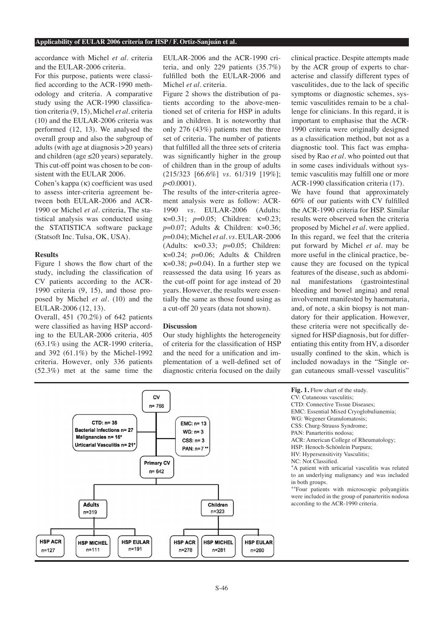#### **Applicability of EULAR 2006 criteria for HSP / F. Ortiz-Sanjuán et al.**

accordance with Michel *et al.* criteria and the EULAR-2006 criteria.

For this purpose, patients were classified according to the ACR-1990 methodology and criteria. A comparative study using the ACR-1990 classification criteria (9, 15), Michel *et al.* criteria (10) and the EULAR-2006 criteria was performed (12, 13). We analysed the overall group and also the subgroup of adults (with age at diagnosis >20 years) and children (age  $\leq$ 20 years) separately. This cut-off point was chosen to be consistent with the EULAR 2006.

Cohen's kappa (κ) coefficient was used to assess inter-criteria agreement between both EULAR-2006 and ACR-1990 or Michel *et al.* criteria, The statistical analysis was conducted using the STATISTICA software package (Statsoft Inc. Tulsa, OK, USA).

### **Results**

Figure 1 shows the flow chart of the study, including the classification of CV patients according to the ACR-1990 criteria (9, 15), and those proposed by Michel *et al.* (10) and the EULAR-2006 (12, 13).

Overall, 451 (70.2%) of 642 patients were classified as having HSP according to the EULAR-2006 criteria, 405 (63.1%) using the ACR-1990 criteria, and 392 (61.1%) by the Michel-1992 criteria. However, only 336 patients (52.3%) met at the same time the

EULAR-2006 and the ACR-1990 criteria, and only 229 patients (35.7%) fulfilled both the EULAR-2006 and Michel *et al.* criteria.

Figure 2 shows the distribution of patients according to the above-mentioned set of criteria for HSP in adults and in children. It is noteworthy that only 276 (43%) patients met the three set of criteria. The number of patients that fulfilled all the three sets of criteria was significantly higher in the group of children than in the group of adults (215/323 [66.6%] *vs.* 61/319 [19%]; *p*<0.0001).

The results of the inter-criteria agreement analysis were as follow: ACR-1990 *vs.* EULAR-2006 (Adults: κ=0.31; *p*=0.05; Children: κ=0.23; *p*=0.07; Adults & Children: κ=0.36; *p*=0.04); Michel *et al. vs.* EULAR-2006 (Adults: κ=0.33; *p*=0.05; Children: κ=0.24; *p*=0.06; Adults & Children κ=0.38; *p*=0.04). In a further step we reassessed the data using 16 years as the cut-off point for age instead of 20 years. However, the results were essentially the same as those found using as a cut-off 20 years (data not shown).

# **Discussion**

Our study highlights the heterogeneity of criteria for the classification of HSP and the need for a unification and implementation of a well-defined set of diagnostic criteria focused on the daily

clinical practice. Despite attempts made by the ACR group of experts to characterise and classify different types of vasculitides, due to the lack of specific symptoms or diagnostic schemes, systemic vasculitides remain to be a challenge for clinicians. In this regard, it is important to emphasise that the ACR-1990 criteria were originally designed as a classification method, but not as a diagnostic tool. This fact was emphasised by Rao *et al.* who pointed out that in some cases individuals without systemic vasculitis may fulfill one or more ACR-1990 classification criteria (17).

We have found that approximately 60% of our patients with CV fulfilled the ACR-1990 criteria for HSP. Similar results were observed when the criteria proposed by Michel *et al.* were applied. In this regard, we feel that the criteria put forward by Michel *et al.* may be more useful in the clinical practice, because they are focused on the typical features of the disease, such as abdominal manifestations (gastrointestinal bleeding and bowel angina) and renal involvement manifested by haematuria, and, of note, a skin biopsy is not mandatory for their application. However, these criteria were not specifically designed for HSP diagnosis, but for differentiating this entity from HV, a disorder usually confined to the skin, which is included nowadays in the "Single organ cutaneous small-vessel vasculitis"



- **Fig. 1.** Flow chart of the study.
- CV: Cutaneous vasculitis;
- CTD: Connective Tissue Diseases;
- EMC: Essential Mixed Cryoglobulianemia;
- WG: Wegener Granulomatosis;
- CSS: Churg-Strauss Syndrome;
- PAN: Panarteritis nodosa;
- ACR: American College of Rheumatology;
- HSP: Henoch-Schönlein Purpura;
- HV: Hypersensitivity Vasculitis;
- NC: Not Classified.
- \*A patient with urticarial vasculitis was related to an underlying malignancy and was included
- \*\*Four patients with microscopic polyangiitis were included in the group of panarteritis nodosa according to the ACR-1990 criteria.